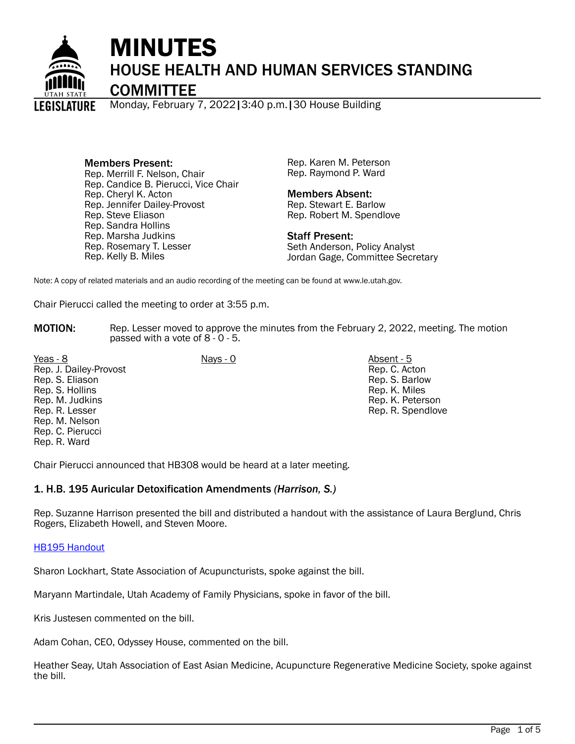

# MINUTES HOUSE HEALTH AND HUMAN SERVICES STANDING

**COMMITTEE** 

Monday, February 7, 2022|3:40 p.m.|30 House Building

Members Present: Rep. Merrill F. Nelson, Chair Rep. Candice B. Pierucci, Vice Chair Rep. Cheryl K. Acton Rep. Jennifer Dailey-Provost Rep. Steve Eliason Rep. Sandra Hollins Rep. Marsha Judkins Rep. Rosemary T. Lesser Rep. Kelly B. Miles

Rep. Karen M. Peterson Rep. Raymond P. Ward

## Members Absent:

Rep. Stewart E. Barlow Rep. Robert M. Spendlove

Staff Present:

Seth Anderson, Policy Analyst Jordan Gage, Committee Secretary

Note: A copy of related materials and an audio recording of the meeting can be found at www.le.utah.gov.

Chair Pierucci called the meeting to order at 3:55 p.m.

**MOTION:** Rep. Lesser moved to approve the minutes from the February 2, 2022, meeting. The motion passed with a vote of 8 - 0 - 5.

Yeas - 8 Nays - 0 Absent - 5 Rep. J. Dailey-Provost Rep. S. Eliason Rep. S. Hollins Rep. M. Judkins Rep. R. Lesser Rep. M. Nelson Rep. C. Pierucci Rep. R. Ward

Rep. C. Acton Rep. S. Barlow Rep. K. Miles Rep. K. Peterson Rep. R. Spendlove

Chair Pierucci announced that HB308 would be heard at a later meeting.

# 1. H.B. 195 Auricular Detoxification Amendments *(Harrison, S.)*

Rep. Suzanne Harrison presented the bill and distributed a handout with the assistance of Laura Berglund, Chris Rogers, Elizabeth Howell, and Steven Moore.

# [HB195 Handout](https://le.utah.gov/interim/2022/pdf/00001646.pdf)

Sharon Lockhart, State Association of Acupuncturists, spoke against the bill.

Maryann Martindale, Utah Academy of Family Physicians, spoke in favor of the bill.

Kris Justesen commented on the bill.

Adam Cohan, CEO, Odyssey House, commented on the bill.

Heather Seay, Utah Association of East Asian Medicine, Acupuncture Regenerative Medicine Society, spoke against the bill.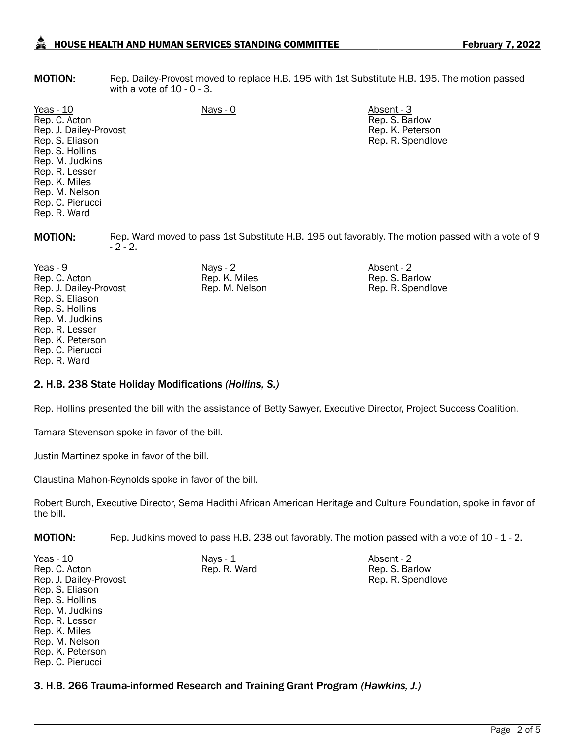# HOUSE HEALTH AND HUMAN SERVICES STANDING COMMITTEE February 7, 2022

**MOTION:** Rep. Dailey-Provost moved to replace H.B. 195 with 1st Substitute H.B. 195. The motion passed with a vote of 10 - 0 - 3.

Yeas - 10 Nays - 0 Absent - 3 Rep. C. Acton Rep. J. Dailey-Provost Rep. S. Eliason Rep. S. Hollins Rep. M. Judkins Rep. R. Lesser Rep. K. Miles Rep. M. Nelson Rep. C. Pierucci Rep. R. Ward

Rep. S. Barlow Rep. K. Peterson Rep. R. Spendlove

**MOTION:** Rep. Ward moved to pass 1st Substitute H.B. 195 out favorably. The motion passed with a vote of 9  $-2 - 2.$ 

Yeas - 9 Nays - 2 Absent - 2 Rep. C. Acton Rep. J. Dailey-Provost Rep. S. Eliason Rep. S. Hollins Rep. M. Judkins Rep. R. Lesser Rep. K. Peterson Rep. C. Pierucci Rep. R. Ward

Rep. K. Miles Rep. M. Nelson Rep. S. Barlow Rep. R. Spendlove

Rep. R. Spendlove

## 2. H.B. 238 State Holiday Modifications *(Hollins, S.)*

Rep. Hollins presented the bill with the assistance of Betty Sawyer, Executive Director, Project Success Coalition.

Tamara Stevenson spoke in favor of the bill.

Justin Martinez spoke in favor of the bill.

Claustina Mahon-Reynolds spoke in favor of the bill.

Robert Burch, Executive Director, Sema Hadithi African American Heritage and Culture Foundation, spoke in favor of the bill.

Rep. R. Ward Rep. S. Barlow

MOTION: Rep. Judkins moved to pass H.B. 238 out favorably. The motion passed with a vote of 10 - 1 - 2.

<u>Yeas - 10</u> Nays - <u>1</u> Nays - <u>1</u> Nays - 1 Absent - 2 Rep. C. Acton Rep. J. Dailey-Provost Rep. S. Eliason Rep. S. Hollins Rep. M. Judkins Rep. R. Lesser Rep. K. Miles Rep. M. Nelson Rep. K. Peterson Rep. C. Pierucci

3. H.B. 266 Trauma-informed Research and Training Grant Program *(Hawkins, J.)*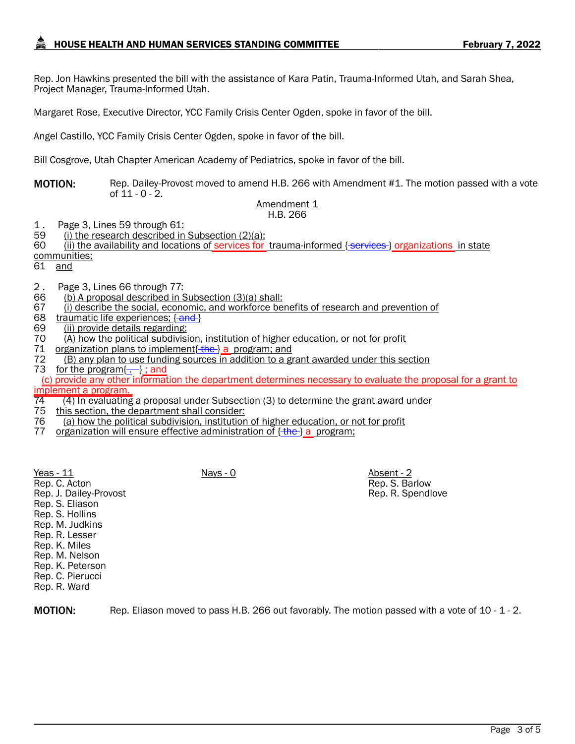Rep. Jon Hawkins presented the bill with the assistance of Kara Patin, Trauma-Informed Utah, and Sarah Shea, Project Manager, Trauma-Informed Utah.

Margaret Rose, Executive Director, YCC Family Crisis Center Ogden, spoke in favor of the bill.

Angel Castillo, YCC Family Crisis Center Ogden, spoke in favor of the bill.

Bill Cosgrove, Utah Chapter American Academy of Pediatrics, spoke in favor of the bill.

**MOTION:** Rep. Dailey-Provost moved to amend H.B. 266 with Amendment #1. The motion passed with a vote of  $11 - 0 - 2$ .

#### Amendment 1 H.B. 266

1 . Page 3, Lines 59 through 61:

- 59 (i) the research described in Subsection (2)(a);<br>60 (ii) the availability and locations of services for
- 60 (ii) the availability and locations of services for trauma-informed { services } organizations in state

communities;

61 and

- 2 . Page 3, Lines 66 through 77:
- 66 (b) A proposal described in Subsection (3)(a) shall:<br>67 (i) describe the social, economic, and workforce be
- 67 (i) describe the social, economic, and workforce benefits of research and prevention of 68 traumatic life experiences: {-and-}
- traumatic life experiences; { and }
- 69 (ii) provide details regarding:<br>70 (A) how the political subdivisi
- (A) how the political subdivision, institution of higher education, or not for profit
- 71 organization plans to implement  $\frac{f_{\text{the}}}{g}$  a program; and
- 72 (B) any plan to use funding sources in addition to a grant awarded under this section 73 for the program $\{\cdot\}$ ; and

 (c) provide any other information the department determines necessary to evaluate the proposal for a grant to implement a program.<br>74 (4) In evaluating

> Rep. S. Barlow Rep. R. Spendlove

 $\frac{74}{74}$  (4) In evaluating a proposal under Subsection (3) to determine the grant award under  $\frac{75}{75}$  this section, the department shall consider:

- this section, the department shall consider:
- 76 (a) how the political subdivision, institution of higher education, or not for profit<br>77 organization will ensure effective administration of <del>(the )</del> a program:
- organization will ensure effective administration of  $\{\frac{f}{f}$  a program;

Yeas - 11 Nays - 0 Nays - 0 Absent - 2 Rep. C. Acton Rep. J. Dailey-Provost Rep. S. Eliason Rep. S. Hollins Rep. M. Judkins Rep. R. Lesser Rep. K. Miles Rep. M. Nelson Rep. K. Peterson Rep. C. Pierucci Rep. R. Ward

MOTION: Rep. Eliason moved to pass H.B. 266 out favorably. The motion passed with a vote of 10 - 1 - 2.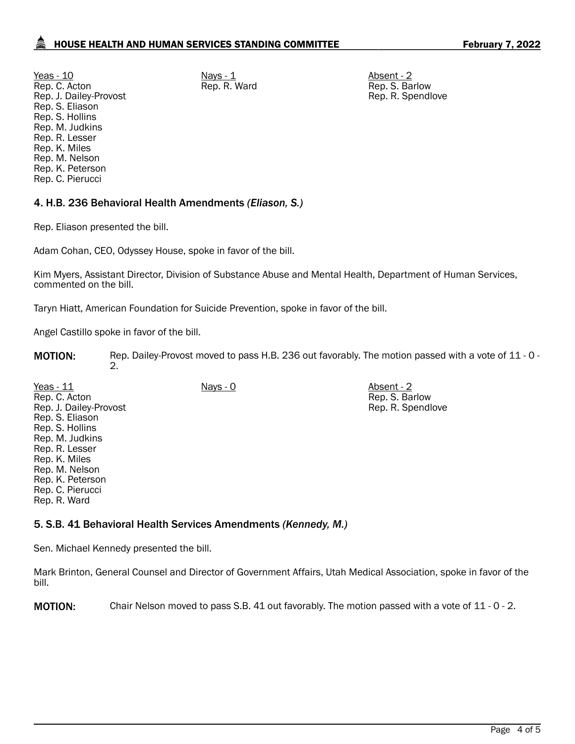<u>Yeas - 10</u> Nays - <u>1</u> Nays - <u>1</u> Nays - 1 Absent - 2 Rep. C. Acton Rep. J. Dailey-Provost Rep. S. Eliason Rep. S. Hollins Rep. M. Judkins Rep. R. Lesser Rep. K. Miles Rep. M. Nelson Rep. K. Peterson Rep. C. Pierucci

Rep. R. Ward Rep. S. Barlow Rep. R. Spendlove

> Rep. S. Barlow Rep. R. Spendlove

# 4. H.B. 236 Behavioral Health Amendments *(Eliason, S.)*

Rep. Eliason presented the bill.

Adam Cohan, CEO, Odyssey House, spoke in favor of the bill.

Kim Myers, Assistant Director, Division of Substance Abuse and Mental Health, Department of Human Services, commented on the bill.

Taryn Hiatt, American Foundation for Suicide Prevention, spoke in favor of the bill.

Angel Castillo spoke in favor of the bill.

MOTION: Rep. Dailey-Provost moved to pass H.B. 236 out favorably. The motion passed with a vote of 11 - 0 -2.

Yeas - 11 Nays - 0 Nays - 0 Absent - 2 Rep. C. Acton Rep. J. Dailey-Provost Rep. S. Eliason Rep. S. Hollins Rep. M. Judkins Rep. R. Lesser Rep. K. Miles Rep. M. Nelson Rep. K. Peterson Rep. C. Pierucci Rep. R. Ward

## 5. S.B. 41 Behavioral Health Services Amendments *(Kennedy, M.)*

Sen. Michael Kennedy presented the bill.

Mark Brinton, General Counsel and Director of Government Affairs, Utah Medical Association, spoke in favor of the bill.

MOTION: Chair Nelson moved to pass S.B. 41 out favorably. The motion passed with a vote of 11 - 0 - 2.